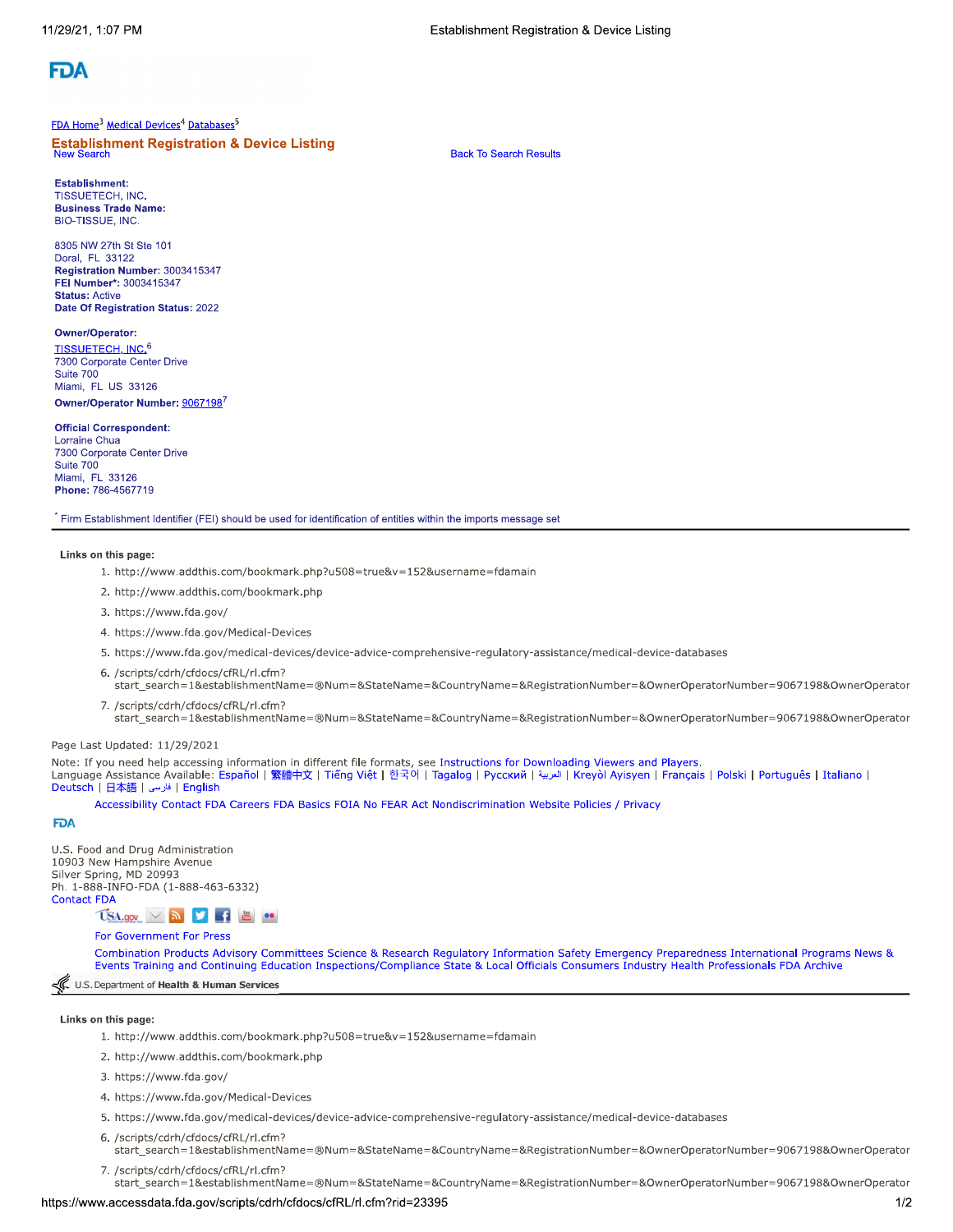

#### FDA Home<sup>3</sup> Medical Devices<sup>4</sup> Databases<sup>5</sup>

**Establishment Registration & Device Listing New Search** 

**Back To Search Results** 

**Establishment: TISSUETECH, INC. Business Trade Name: BIO-TISSUE, INC.** 

8305 NW 27th St Ste 101 Doral, FL 33122 Registration Number: 3003415347 FEI Number\*: 3003415347 **Status: Active** Date Of Registration Status: 2022

Owner/Operator: TISSUETECH, INC.<sup>6</sup> 7300 Corporate Center Drive Suite 700

Miami, FL US 33126 Owner/Operator Number: 90671987

#### **Official Correspondent:**

**Lorraine Chua** 7300 Corporate Center Drive Suite 700 Miami, FL 33126 Phone: 786-4567719

Firm Establishment Identifier (FEI) should be used for identification of entities within the imports message set

#### Links on this page:

- 1. http://www.addthis.com/bookmark.php?u508=true&v=152&username=fdamain
- 2. http://www.addthis.com/bookmark.php
- 3. https://www.fda.gov/
- 4. https://www.fda.gov/Medical-Devices
- 5. https://www.fda.gov/medical-devices/device-advice-comprehensive-regulatory-assistance/medical-device-databases
- 6. /scripts/cdrh/cfdocs/cfRL/rl.cfm? start\_search=1&establishmentName=®Num=&StateName=&CountryName=&RegistrationNumber=&OwnerOperatorNumber=9067198&OwnerOperator
- 7. /scripts/cdrh/cfdocs/cfRL/rl.cfm? start\_search=1&establishmentName=®Num=&StateName=&CountryName=&RegistrationNumber=&OwnerOperatorNumber=9067198&OwnerOperator

#### Page Last Updated: 11/29/2021

Note: If you need help accessing information in different file formats, see Instructions for Downloading Viewers and Players.

Language Assistance Available: Español | 繁體中文 | Tiếng Việt | 한국어 | Tagalog | Русский | العربية | Kreyòl Ayisyen | Français | Polski | Português | Italiano | English | فارسى | English | Elation | Elation | فارسى |

Accessibility Contact FDA Careers FDA Basics FOIA No FEAR Act Nondiscrimination Website Policies / Privacy

#### **FDA**

U.S. Food and Drug Administration 10903 New Hampshire Avenue Silver Spring, MD 20993 Ph. 1-888-INFO-FDA (1-888-463-6332) **Contact FDA** 

 $\overline{\text{Us}}$   $\overline{\text{Us}}$   $\overline{\text{S}}$   $\overline{\text{S}}$   $\overline{\text{S}}$   $\overline{\text{S}}$   $\overline{\text{S}}$   $\overline{\text{S}}$ 

## For Government For Press

Combination Products Advisory Committees Science & Research Regulatory Information Safety Emergency Preparedness International Programs News & Events Training and Continuing Education Inspections/Compliance State & Local Officials Consumers Industry Health Professionals FDA Archive

## U.S. Department of Health & Human Services

### Links on this page:

- 1. http://www.addthis.com/bookmark.php?u508=true&v=152&username=fdamain
- 2. http://www.addthis.com/bookmark.php
- 3. https://www.fda.gov/
- 4. https://www.fda.gov/Medical-Devices
- 5. https://www.fda.gov/medical-devices/device-advice-comprehensive-regulatory-assistance/medical-device-databases
- 6. /scripts/cdrh/cfdocs/cfRL/rl.cfm? start\_search=1&establishmentName=®Num=&StateName=&CountryName=&RegistrationNumber=&OwnerOperatorNumber=9067198&OwnerOperator
- 7. /scripts/cdrh/cfdocs/cfRL/rl.cfm?

start\_search=1&establishmentName=®Num=&StateName=&CountryName=&RegistrationNumber=&OwnerOperatorNumber=9067198&OwnerOperator